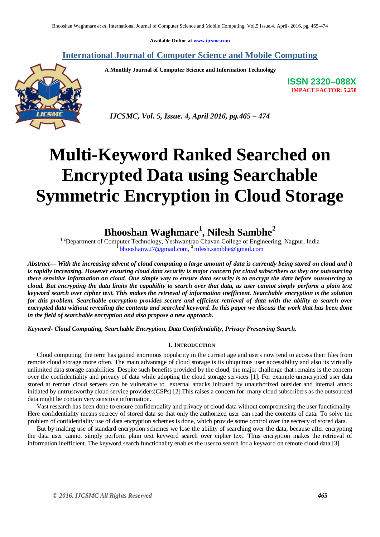**Available Online at [www.ijcsmc.com](http://www.ijcsmc.com/)**

### **International Journal of Computer Science and Mobile Computing**

 **A Monthly Journal of Computer Science and Information Technology**



**ISSN 2320–088X IMPACT FACTOR: 5.258**

 *IJCSMC, Vol. 5, Issue. 4, April 2016, pg.465 – 474*

# **Multi-Keyword Ranked Searched on Encrypted Data using Searchable Symmetric Encryption in Cloud Storage**

## **Bhooshan Waghmare<sup>1</sup> , Nilesh Sambhe<sup>2</sup>**

<sup>1,2</sup>Department of Computer Technology, Yeshwantrao Chavan College of Engineering, Nagpur, India <sup>1</sup> [bhooshanw27@gmail.com,](mailto:bhooshanw27@gmail.com) <sup>2</sup> [nilesh.sambhe@gmail.com](mailto:nilesh.sambhe@gmail.com)

*Abstract— With the increasing advent of cloud computing a large amount of data is currently being stored on cloud and it is rapidly increasing. However ensuring cloud data security is major concern for cloud subscribers as they are outsourcing there sensitive information on cloud. One simple way to ensure data security is to encrypt the data before outsourcing to cloud. But encrypting the data limits the capability to search over that data, as user cannot simply perform a plain text keyword search over cipher text. This makes the retrieval of information inefficient. Searchable encryption is the solution for this problem. Searchable encryption provides secure and efficient retrieval of data with the ability to search over encrypted data without revealing the contents and searched keyword. In this paper we discuss the work that has been done in the field of searchable encryption and also propose a new approach.*

*Keyword- Cloud Computing, Searchable Encryption, Data Confidentiality, Privacy Preserving Search.*

#### **I. INTRODUCTION**

Cloud computing, the term has gained enormous popularity in the current age and users now tend to access their files from remote cloud storage more often. The main advantage of cloud storage is its ubiquitous user accessibility and also its virtually unlimited data storage capabilities. Despite such benefits provided by the cloud, the major challenge that remains is the concern over the confidentiality and privacy of data while adopting the cloud storage services [1]. For example unencrypted user data stored at remote cloud servers can be vulnerable to external attacks initiated by unauthorized outsider and internal attack initiated by untrustworthy cloud service providers(CSPs) [2].This raises a concern for many cloud subscribers as the outsourced data might be contain very sensitive information.

Vast research has been done to ensure confidentiality and privacy of cloud data without compromising the user functionality. Here confidentiality means secrecy of stored data so that only the authorized user can read the contents of data. To solve the problem of confidentiality use of data encryption schemes is done, which provide some control over the secrecy of stored data.

But by making use of standard encryption schemes we lose the ability of searching over the data, because after encrypting the data user cannot simply perform plain text keyword search over cipher text. Thus encryption makes the retrieval of information inefficient. The keyword search functionality enables the user to search for a keyword on remote cloud data [3].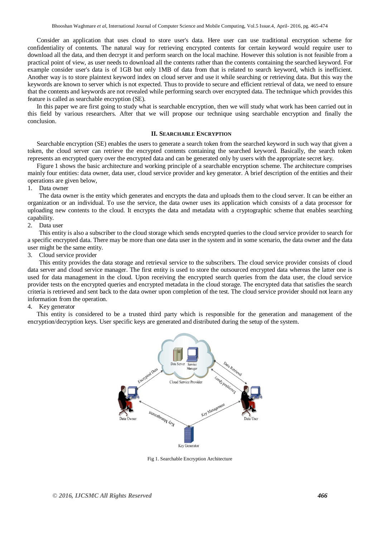Consider an application that uses cloud to store user's data. Here user can use traditional encryption scheme for confidentiality of contents. The natural way for retrieving encrypted contents for certain keyword would require user to download all the data, and then decrypt it and perform search on the local machine. However this solution is not feasible from a practical point of view, as user needs to download all the contents rather than the contents containing the searched keyword. For example consider user's data is of 1GB but only 1MB of data from that is related to search keyword, which is inefficient. Another way is to store plaintext keyword index on cloud server and use it while searching or retrieving data. But this way the keywords are known to server which is not expected. Thus to provide to secure and efficient retrieval of data, we need to ensure that the contents and keywords are not revealed while performing search over encrypted data. The technique which provides this feature is called as searchable encryption (SE).

In this paper we are first going to study what is searchable encryption, then we will study what work has been carried out in this field by various researchers. After that we will propose our technique using searchable encryption and finally the conclusion.

#### **II. SEARCHABLE ENCRYPTION**

Searchable encryption (SE) enables the users to generate a search token from the searched keyword in such way that given a token, the cloud server can retrieve the encrypted contents containing the searched keyword. Basically, the search token represents an encrypted query over the encrypted data and can be generated only by users with the appropriate secret key.

Figure 1 shows the basic architecture and working principle of a searchable encryption scheme. The architecture comprises mainly four entities: data owner, data user, cloud service provider and key generator. A brief description of the entities and their operations are given below,

1. Data owner

The data owner is the entity which generates and encrypts the data and uploads them to the cloud server. It can be either an organization or an individual. To use the service, the data owner uses its application which consists of a data processor for uploading new contents to the cloud. It encrypts the data and metadata with a cryptographic scheme that enables searching capability.

#### 2. Data user

This entity is also a subscriber to the cloud storage which sends encrypted queries to the cloud service provider to search for a specific encrypted data. There may be more than one data user in the system and in some scenario, the data owner and the data user might be the same entity.

3. Cloud service provider

This entity provides the data storage and retrieval service to the subscribers. The cloud service provider consists of cloud data server and cloud service manager. The first entity is used to store the outsourced encrypted data whereas the latter one is used for data management in the cloud. Upon receiving the encrypted search queries from the data user, the cloud service provider tests on the encrypted queries and encrypted metadata in the cloud storage. The encrypted data that satisfies the search criteria is retrieved and sent back to the data owner upon completion of the test. The cloud service provider should not learn any information from the operation.

4. Key generator

This entity is considered to be a trusted third party which is responsible for the generation and management of the encryption/decryption keys. User specific keys are generated and distributed during the setup of the system.



Fig 1. Searchable Encryption Architecture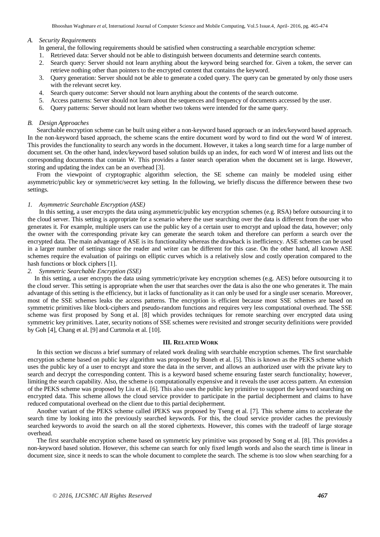Bhooshan Waghmare *et al*, International Journal of Computer Science and Mobile Computing, Vol.5 Issue.4, April- 2016, pg. 465-474

#### *A. Security Requirements*

In general, the following requirements should be satisfied when constructing a searchable encryption scheme:

- 1. Retrieved data: Server should not be able to distinguish between documents and determine search contents.
- 2. Search query: Server should not learn anything about the keyword being searched for. Given a token, the server can retrieve nothing other than pointers to the encrypted content that contains the keyword.
- 3. Query generation: Server should not be able to generate a coded query. The query can be generated by only those users with the relevant secret key.
- 4. Search query outcome: Server should not learn anything about the contents of the search outcome.
- 5. Access patterns: Server should not learn about the sequences and frequency of documents accessed by the user.
- 6. Query patterns: Server should not learn whether two tokens were intended for the same query.

#### *B. Design Approaches*

Searchable encryption scheme can be built using either a non-keyword based approach or an index/keyword based approach. In the non-keyword based approach, the scheme scans the entire document word by word to find out the word W of interest. This provides the functionality to search any words in the document. However, it takes a long search time for a large number of document set. On the other hand, index/keyword based solution builds up an index, for each word W of interest and lists out the corresponding documents that contain W. This provides a faster search operation when the document set is large. However, storing and updating the index can be an overhead [3].

From the viewpoint of cryptographic algorithm selection, the SE scheme can mainly be modeled using either asymmetric/public key or symmetric/secret key setting. In the following, we briefly discuss the difference between these two settings.

#### *1. Asymmetric Searchable Encryption (ASE)*

In this setting, a user encrypts the data using asymmetric/public key encryption schemes (e.g. RSA) before outsourcing it to the cloud server. This setting is appropriate for a scenario where the user searching over the data is different from the user who generates it. For example, multiple users can use the public key of a certain user to encrypt and upload the data, however; only the owner with the corresponding private key can generate the search token and therefore can perform a search over the encrypted data. The main advantage of ASE is its functionality whereas the drawback is inefficiency. ASE schemes can be used in a larger number of settings since the reader and writer can be different for this case. On the other hand, all known ASE schemes require the evaluation of pairings on elliptic curves which is a relatively slow and costly operation compared to the hash functions or block ciphers [1].

#### *2. Symmetric Searchable Encryption (SSE)*

In this setting, a user encrypts the data using symmetric/private key encryption schemes (e.g. AES) before outsourcing it to the cloud server. This setting is appropriate when the user that searches over the data is also the one who generates it. The main advantage of this setting is the efficiency, but it lacks of functionality as it can only be used for a single user scenario. Moreover, most of the SSE schemes leaks the access patterns. The encryption is efficient because most SSE schemes are based on symmetric primitives like block-ciphers and pseudo-random functions and requires very less computational overhead. The SSE scheme was first proposed by Song et al. [8] which provides techniques for remote searching over encrypted data using symmetric key primitives. Later, security notions of SSE schemes were revisited and stronger security definitions were provided by Goh [4], Chang et al. [9] and Curtmola et al. [10].

#### **III. RELATED WORK**

In this section we discuss a brief summary of related work dealing with searchable encryption schemes. The first searchable encryption scheme based on public key algorithm was proposed by Boneh et al. [5]. This is known as the PEKS scheme which uses the public key of a user to encrypt and store the data in the server, and allows an authorized user with the private key to search and decrypt the corresponding content. This is a keyword based scheme ensuring faster search functionality; however, limiting the search capability. Also, the scheme is computationally expensive and it reveals the user access pattern. An extension of the PEKS scheme was proposed by Liu et al. [6]. This also uses the public key primitive to support the keyword searching on encrypted data. This scheme allows the cloud service provider to participate in the partial decipherment and claims to have reduced computational overhead on the client due to this partial decipherment.

Another variant of the PEKS scheme called iPEKS was proposed by Tseng et al. [7]. This scheme aims to accelerate the search time by looking into the previously searched keywords. For this, the cloud service provider caches the previously searched keywords to avoid the search on all the stored ciphertexts. However, this comes with the tradeoff of large storage overhead.

The first searchable encryption scheme based on symmetric key primitive was proposed by Song et al. [8]. This provides a non-keyword based solution. However, this scheme can search for only fixed length words and also the search time is linear in document size, since it needs to scan the whole document to complete the search. The scheme is too slow when searching for a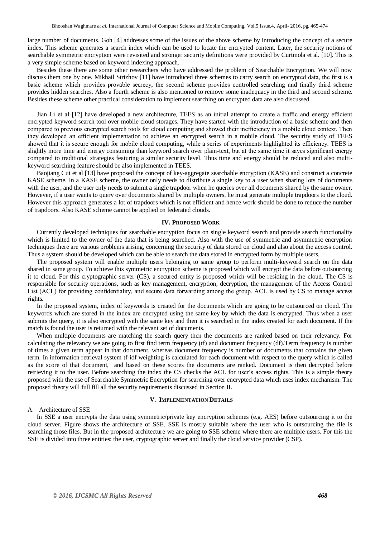large number of documents. Goh [4] addresses some of the issues of the above scheme by introducing the concept of a secure index. This scheme generates a search index which can be used to locate the encrypted content. Later, the security notions of searchable symmetric encryption were revisited and stronger security definitions were provided by Curtmola et al. [10]. This is a very simple scheme based on keyword indexing approach.

Besides these there are some other researchers who have addressed the problem of Searchable Encryption. We will now discuss them one by one. Mikhail Strizhov [11] have introduced three schemes to carry search on encrypted data, the first is a basic scheme which provides provable secrecy, the second scheme provides controlled searching and finally third scheme provides hidden searches. Also a fourth scheme is also mentioned to remove some inadequacy in the third and second scheme. Besides these scheme other practical consideration to implement searching on encrypted data are also discussed.

Jian Li et al [12] have developed a new architecture, TEES as an initial attempt to create a traffic and energy efficient encrypted keyword search tool over mobile cloud storages. They have started with the introduction of a basic scheme and then compared to previous encrypted search tools for cloud computing and showed their inefficiency in a mobile cloud context. Then they developed an efficient implementation to achieve an encrypted search in a mobile cloud. The security study of TEES showed that it is secure enough for mobile cloud computing, while a series of experiments highlighted its efficiency. TEES is slightly more time and energy consuming than keyword search over plain-text, but at the same time it saves significant energy compared to traditional strategies featuring a similar security level. Thus time and energy should be reduced and also multikeyword searching feature should be also implemented in TEES.

Baojiang Cui et al [13] have proposed the concept of key-aggregate searchable encryption (KASE) and construct a concrete KASE scheme. In a KASE scheme, the owner only needs to distribute a single key to a user when sharing lots of documents with the user, and the user only needs to submit a single trapdoor when he queries over all documents shared by the same owner. However, if a user wants to query over documents shared by multiple owners, he must generate multiple trapdoors to the cloud. However this approach generates a lot of trapdoors which is not efficient and hence work should be done to reduce the number of trapdoors. Also KASE scheme cannot be applied on federated clouds.

#### **IV. PROPOSED WORK**

Currently developed techniques for searchable encryption focus on single keyword search and provide search functionality which is limited to the owner of the data that is being searched. Also with the use of symmetric and asymmetric encryption techniques there are various problems arising, concerning the security of data stored on cloud and also about the access control. Thus a system should be developed which can be able to search the data stored in encrypted form by multiple users.

The proposed system will enable multiple users belonging to same group to perform multi-keyword search on the data shared in same group. To achieve this symmetric encryption scheme is proposed which will encrypt the data before outsourcing it to cloud. For this cryptographic server (CS), a secured entity is proposed which will be residing in the cloud. The CS is responsible for security operations, such as key management, encryption, decryption, the management of the Access Control List (ACL) for providing confidentiality, and secure data forwarding among the group. ACL is used by CS to manage access rights.

In the proposed system, index of keywords is created for the documents which are going to be outsourced on cloud. The keywords which are stored in the index are encrypted using the same key by which the data is encrypted. Thus when a user submits the query, it is also encrypted with the same key and then it is searched in the index created for each document. If the match is found the user is returned with the relevant set of documents.

When multiple documents are matching the search query then the documents are ranked based on their relevancy. For calculating the relevancy we are going to first find term frequency (tf) and document frequency (df).Term frequency is number of times a given term appear in that document, whereas document frequency is number of documents that contains the given term. In information retrieval system tf-idf weighting is calculated for each document with respect to the query which is called as the score of that document, and based on these scores the documents are ranked. Document is then decrypted before retrieving it to the user. Before searching the index the CS checks the ACL for user's access rights. This is a simple theory proposed with the use of Searchable Symmetric Encryption for searching over encrypted data which uses index mechanism. The proposed theory will full fill all the security requirements discussed in Section II.

#### **V. IMPLEMENTATION DETAILS**

#### A. Architecture of SSE

In SSE a user encrypts the data using symmetric/private key encryption schemes (e.g. AES) before outsourcing it to the cloud server. Figure shows the architecture of SSE. SSE is mostly suitable where the user who is outsourcing the file is searching those files. But in the proposed architecture we are going to SSE scheme where there are multiple users. For this the SSE is divided into three entities: the user, cryptographic server and finally the cloud service provider (CSP).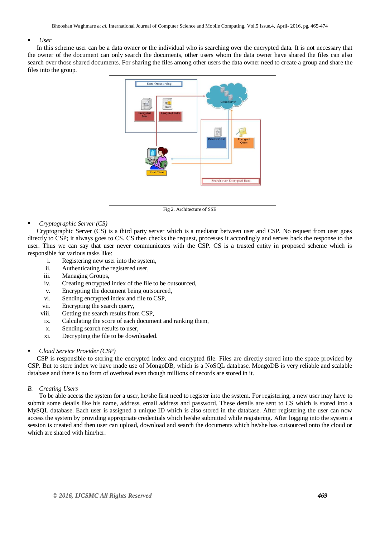#### *User*

In this scheme user can be a data owner or the individual who is searching over the encrypted data. It is not necessary that the owner of the document can only search the documents, other users whom the data owner have shared the files can also search over those shared documents. For sharing the files among other users the data owner need to create a group and share the files into the group.



Fig 2. Architecture of SSE

#### *Cryptographic Server (CS)*

Cryptographic Server (CS) is a third party server which is a mediator between user and CSP. No request from user goes directly to CSP; it always goes to CS. CS then checks the request, processes it accordingly and serves back the response to the user. Thus we can say that user never communicates with the CSP. CS is a trusted entity in proposed scheme which is responsible for various tasks like:

- i. Registering new user into the system,
- ii. Authenticating the registered user,
- iii. Managing Groups,
- iv. Creating encrypted index of the file to be outsourced,
- v. Encrypting the document being outsourced,
- vi. Sending encrypted index and file to CSP,
- vii. Encrypting the search query,
- viii. Getting the search results from CSP,
- ix. Calculating the score of each document and ranking them,
- x. Sending search results to user,
- xi. Decrypting the file to be downloaded.

#### *Cloud Service Provider (CSP)*

CSP is responsible to storing the encrypted index and encrypted file. Files are directly stored into the space provided by CSP. But to store index we have made use of MongoDB, which is a NoSQL database. MongoDB is very reliable and scalable database and there is no form of overhead even though millions of records are stored in it.

#### *B. Creating Users*

To be able access the system for a user, he/she first need to register into the system. For registering, a new user may have to submit some details like his name, address, email address and password. These details are sent to CS which is stored into a MySQL database. Each user is assigned a unique ID which is also stored in the database. After registering the user can now access the system by providing appropriate credentials which he/she submitted while registering. After logging into the system a session is created and then user can upload, download and search the documents which he/she has outsourced onto the cloud or which are shared with him/her.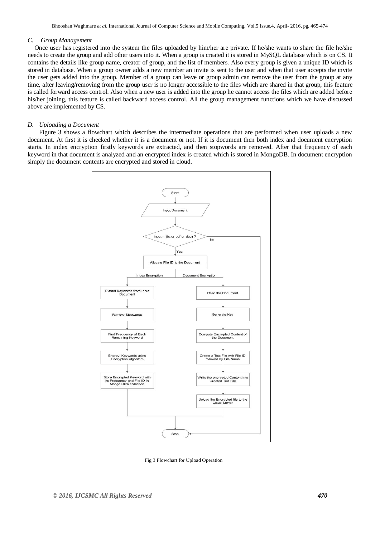#### *C. Group Management*

Once user has registered into the system the files uploaded by him/her are private. If he/she wants to share the file he/she needs to create the group and add other users into it. When a group is created it is stored in MySQL database which is on CS. It contains the details like group name, creator of group, and the list of members. Also every group is given a unique ID which is stored in database. When a group owner adds a new member an invite is sent to the user and when that user accepts the invite the user gets added into the group. Member of a group can leave or group admin can remove the user from the group at any time, after leaving/removing from the group user is no longer accessible to the files which are shared in that group, this feature is called forward access control. Also when a new user is added into the group he cannot access the files which are added before his/her joining, this feature is called backward access control. All the group management functions which we have discussed above are implemented by CS.

#### *D. Uploading a Document*

Figure 3 shows a flowchart which describes the intermediate operations that are performed when user uploads a new document. At first it is checked whether it is a document or not. If it is document then both index and document encryption starts. In index encryption firstly keywords are extracted, and then stopwords are removed. After that frequency of each keyword in that document is analyzed and an encrypted index is created which is stored in MongoDB. In document encryption simply the document contents are encrypted and stored in cloud.



Fig 3 Flowchart for Upload Operation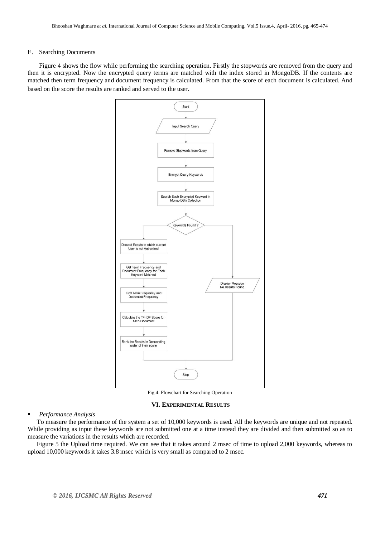#### E. Searching Documents

Figure 4 shows the flow while performing the searching operation. Firstly the stopwords are removed from the query and then it is encrypted. Now the encrypted query terms are matched with the index stored in MongoDB. If the contents are matched then term frequency and document frequency is calculated. From that the score of each document is calculated. And based on the score the results are ranked and served to the user.



Fig 4. Flowchart for Searching Operation

#### **VI. EXPERIMENTAL RESULTS**

#### *Performance Analysis*

To measure the performance of the system a set of 10,000 keywords is used. All the keywords are unique and not repeated. While providing as input these keywords are not submitted one at a time instead they are divided and then submitted so as to measure the variations in the results which are recorded.

Figure 5 the Upload time required. We can see that it takes around 2 msec of time to upload 2,000 keywords, whereas to upload 10,000 keywords it takes 3.8 msec which is very small as compared to 2 msec.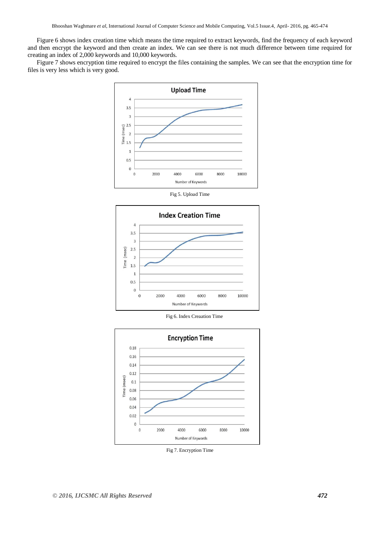Figure 6 shows index creation time which means the time required to extract keywords, find the frequency of each keyword and then encrypt the keyword and then create an index. We can see there is not much difference between time required for creating an index of 2,000 keywords and 10,000 keywords.

Figure 7 shows encryption time required to encrypt the files containing the samples. We can see that the encryption time for files is very less which is very good.



Fig 5. Upload Time



Fig 6. Index Creaation Time



Fig 7. Encryption Time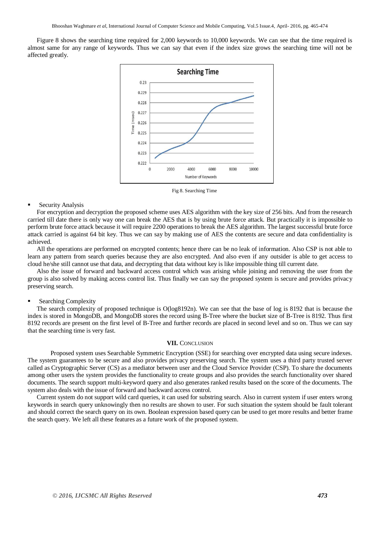Figure 8 shows the searching time required for 2,000 keywords to 10,000 keywords. We can see that the time required is almost same for any range of keywords. Thus we can say that even if the index size grows the searching time will not be affected greatly.



Fig 8. Searching Time

#### **Security Analysis**

For encryption and decryption the proposed scheme uses AES algorithm with the key size of 256 bits. And from the research carried till date there is only way one can break the AES that is by using brute force attack. But practically it is impossible to perform brute force attack because it will require 2200 operations to break the AES algorithm. The largest successful brute force attack carried is against 64 bit key. Thus we can say by making use of AES the contents are secure and data confidentiality is achieved.

All the operations are performed on encrypted contents; hence there can be no leak of information. Also CSP is not able to learn any pattern from search queries because they are also encrypted. And also even if any outsider is able to get access to cloud he/she still cannot use that data, and decrypting that data without key is like impossible thing till current date.

Also the issue of forward and backward access control which was arising while joining and removing the user from the group is also solved by making access control list. Thus finally we can say the proposed system is secure and provides privacy preserving search.

#### Searching Complexity

The search complexity of proposed technique is O(log8192n). We can see that the base of log is 8192 that is because the index is stored in MongoDB, and MongoDB stores the record using B-Tree where the bucket size of B-Tree is 8192. Thus first 8192 records are present on the first level of B-Tree and further records are placed in second level and so on. Thus we can say that the searching time is very fast.

#### **VII.** CONCLUSION

Proposed system uses Searchable Symmetric Encryption (SSE) for searching over encrypted data using secure indexes. The system guarantees to be secure and also provides privacy preserving search. The system uses a third party trusted server called as Cryptographic Server (CS) as a mediator between user and the Cloud Service Provider (CSP). To share the documents among other users the system provides the functionality to create groups and also provides the search functionality over shared documents. The search support multi-keyword query and also generates ranked results based on the score of the documents. The system also deals with the issue of forward and backward access control.

Current system do not support wild card queries, it can used for substring search. Also in current system if user enters wrong keywords in search query unknowingly then no results are shown to user. For such situation the system should be fault tolerant and should correct the search query on its own. Boolean expression based query can be used to get more results and better frame the search query. We left all these features as a future work of the proposed system.